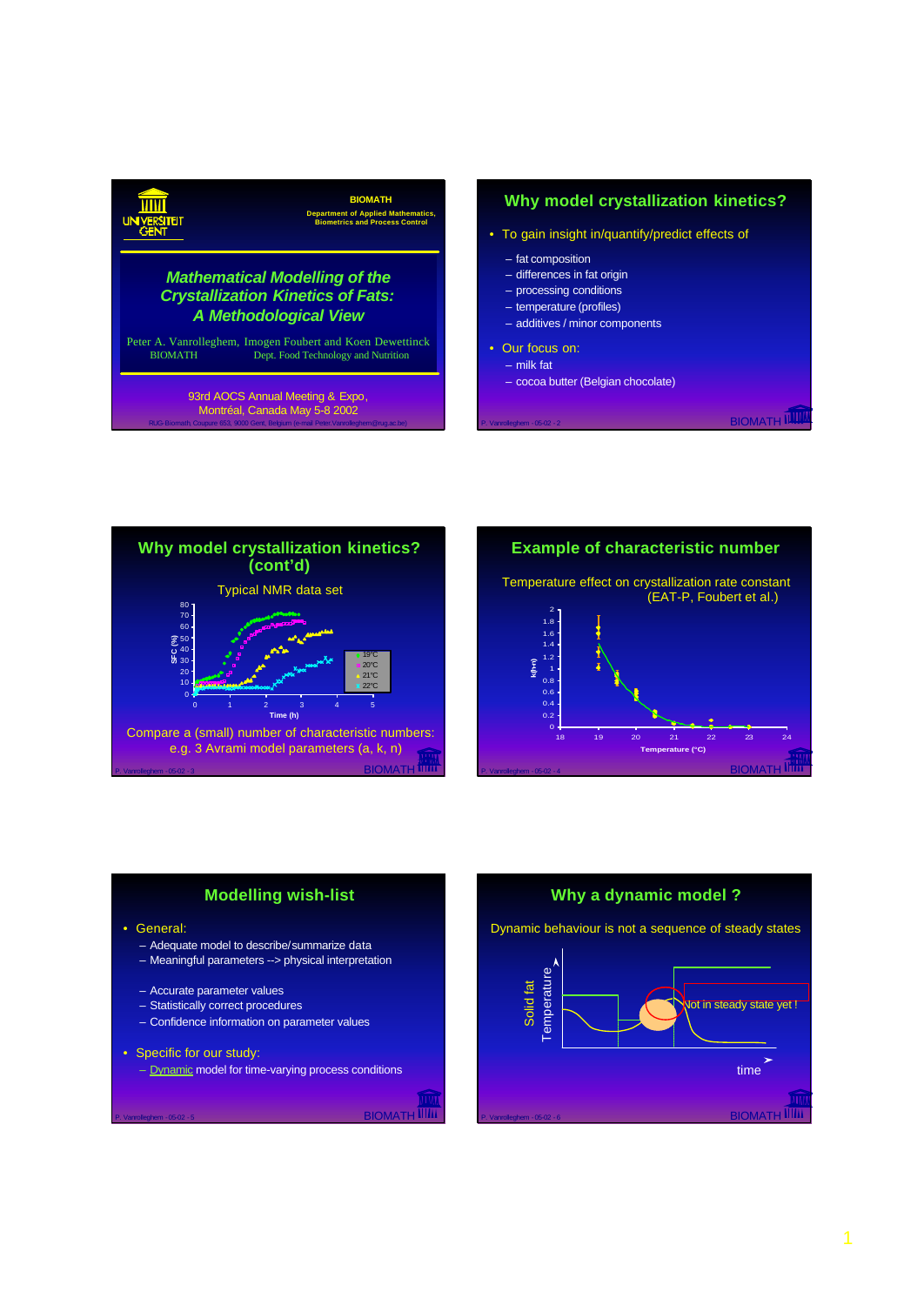## **BIOMATH Department of Applied Mathematics, Biometrics and Process Control** Peter A. Vanrolleghem, Imogen Foubert and Koen Dewettinck Dept. Food Technology and Nutrition *Mathematical Modelling of the Crystallization Kinetics of Fats: A Methodological View* 93rd AOCS Annual Meeting & Expo, Montréal, Canada May 5-8 2002

## **Why model crystallization kinetics?**

- To gain insight in/quantify/predict effects of
	- fat composition
	- differences in fat origin
	- processing conditions
	- temperature (profiles)
	- additives / minor components
- Our focus on:
	- milk fat
	- cocoa butter (Belgian chocolate)

**BIOMATH IIII** 



RUG-Biomath, Coupure 653, 9000 Gent, Belgium (e-mail Peter.Vanrolleghem@rug.ac.be)





P. Vanrolleghem - 05-02 - 5 BIOMATH

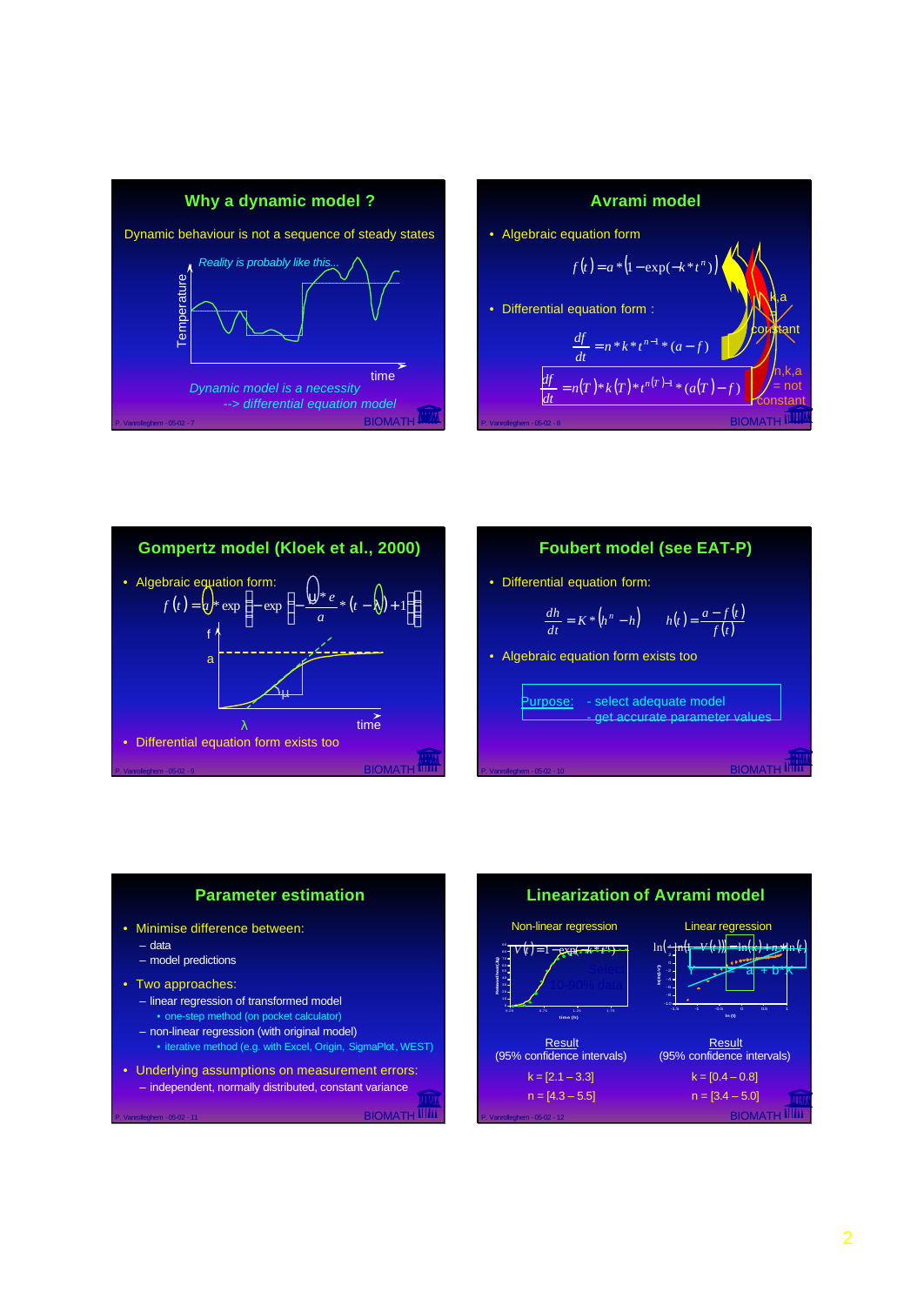









- Two approaches:
	- linear regression of transformed model
	- one-step method (on pocket calculator)
	- non-linear regression (with original model)
	- iterative method (e.g. with Excel, Origin, SigmaPlot, WEST)
- Underlying assumptions on measurement errors: – independent, normally distributed, constant variance

P. Vanrolleghem - 05-02 - 11 BIOMATH

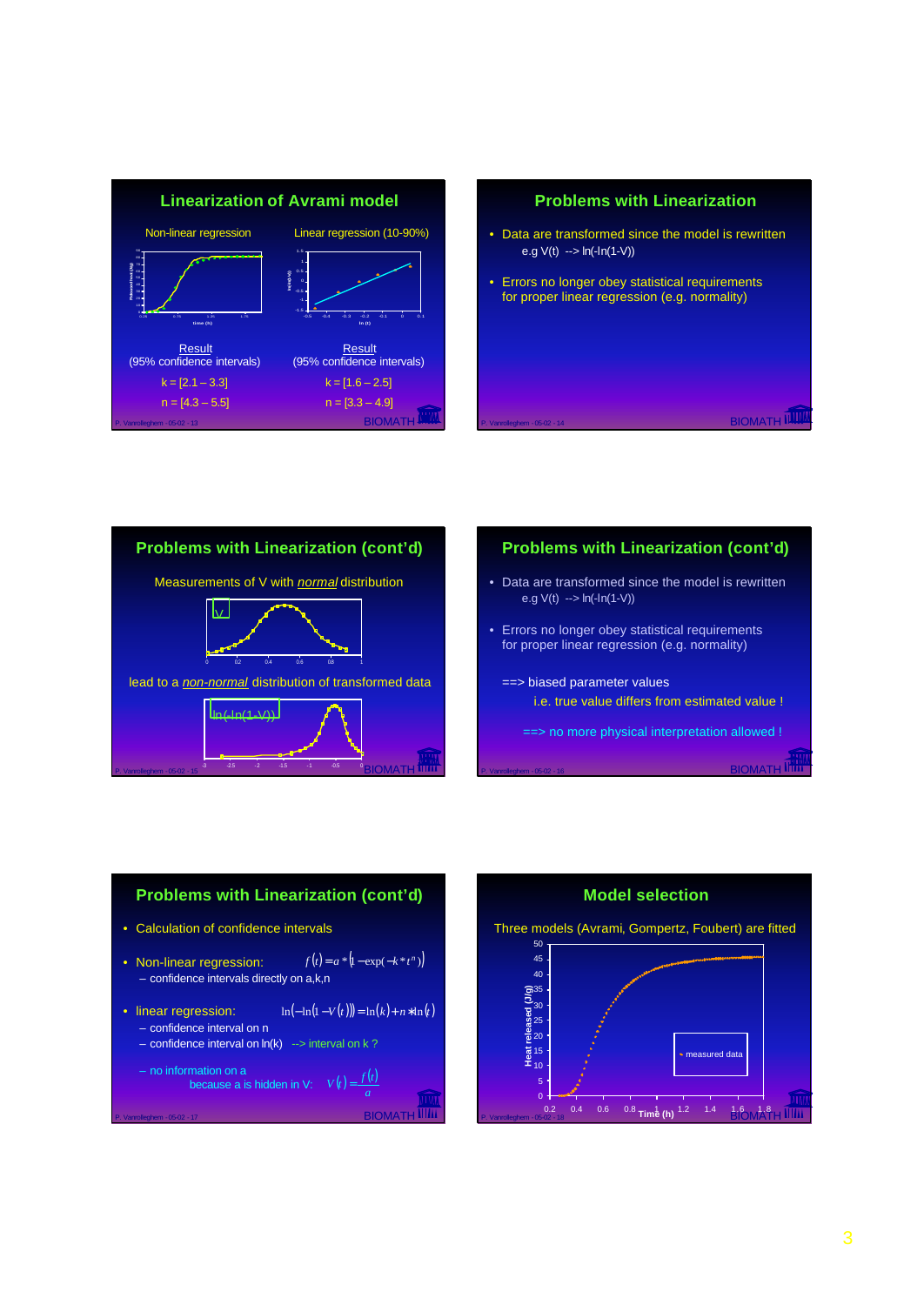







P. Vanrolleghem - 05-02 - 16 BIOMATH